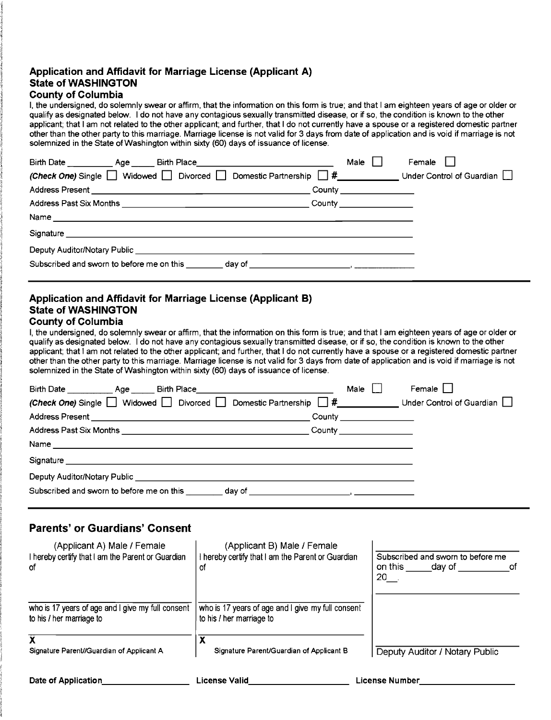### **Application and Affidavit for Marriage License (Applicant A) State of WASHINGTON**

#### **County of Columbia**

I, the undersigned, do solemnly swear or affirm, that the information on this form is true; and that I am eighteen years of age or older or qualify as designated below. I do not have any contagious sexually transmitted disease, or if so, the condition is known to the other applicant; that I am not related to the other applicant; and further, that I do not currently have a spouse or a registered domestic partner other than the other party to this marriage. Marriage license is not valid for 3 days from date of application and is void if marriage is not solemnized in the State of Washington within sixty (60) days of issuance of license.

| Birth Date _____________ Age _______ Birth Place________________________________                                                                                                                                               | Male                                                                                                                                   | Female |
|--------------------------------------------------------------------------------------------------------------------------------------------------------------------------------------------------------------------------------|----------------------------------------------------------------------------------------------------------------------------------------|--------|
| <i>(Check One)</i> Single Widowed Divorced Domestic Partnership $\#$ Under Control of Guardian                                                                                                                                 |                                                                                                                                        |        |
|                                                                                                                                                                                                                                | $\begin{array}{ c c c }\n\hline \text{Country} & \text{\hspace{1cm}} & \text{\hspace{1cm}} & \text{\hspace{1cm}}\n\hline\n\end{array}$ |        |
|                                                                                                                                                                                                                                |                                                                                                                                        |        |
|                                                                                                                                                                                                                                |                                                                                                                                        |        |
| Signature experience and the state of the state of the state of the state of the state of the state of the state of the state of the state of the state of the state of the state of the state of the state of the state of th |                                                                                                                                        |        |
|                                                                                                                                                                                                                                |                                                                                                                                        |        |
| Subscribed and sworn to before me on this day of                                                                                                                                                                               |                                                                                                                                        |        |

### **Application and Affidavit for Marriage License (Applicant B) State of WASHINGTON**

## **County of Columbia**

I, the undersigned, do solemnly swear or affirm, that the information on this form is true; and that I am eighteen years of age or older or qualify as designated below. I do not have any contagious sexually transmitted disease, or if so, the condition is known to the other applicant; that I am not related to the other applicant; and further, that I do not currently have a spouse or a registered domestic partner other than the other party to this marriage. Marriage license is not valid for 3 days from date of application and is void if marriage is not solemnized in the State of Washington within sixty (60) days of issuance of license.

| Birth Date ____________ Age ______ Birth Place__________________________________<br><i>(Check One)</i> Single $\Box$ Widowed $\Box$ Divorced $\Box$ Domestic Partnership $\Box$ # | Male | Female    <br>Under Control of Guardian |
|-----------------------------------------------------------------------------------------------------------------------------------------------------------------------------------|------|-----------------------------------------|
| Signature<br>Deputy Auditor/Notary Public ___________________________<br>Subscribed and sworn to before me on this day of                                                         |      |                                         |

# **Parents' or Guardians' Consent**

| (Applicant A) Male / Female<br>I hereby certify that I am the Parent or Guardian<br>0f | (Applicant B) Male / Female<br>I hereby certify that I am the Parent or Guardian<br>οf | Subscribed and sworn to before me<br>on this<br>dav of<br>0t<br>$20$ . |
|----------------------------------------------------------------------------------------|----------------------------------------------------------------------------------------|------------------------------------------------------------------------|
| who is 17 years of age and I give my full consent<br>to his / her marriage to          | who is 17 years of age and I give my full consent<br>to his / her marriage to          |                                                                        |
| Signature Parent//Guardian of Applicant A                                              | χ<br>Signature Parent/Guardian of Applicant B                                          | Deputy Auditor / Notary Public                                         |
| Date of Application                                                                    | License Valid                                                                          | <b>License Number</b>                                                  |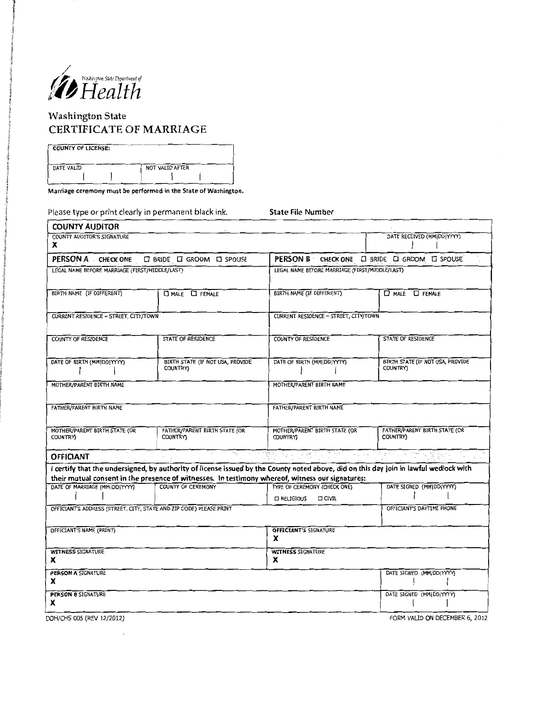

# Washington State CERTIFICATE OF MARRIAGE

| <b>COUNTY OF LICENSE:</b> |                 |
|---------------------------|-----------------|
|                           |                 |
| DATE VALID                | NOT VALID AFTER |
|                           |                 |

Marriage ceremony must be performed in the State of Washington.

Please type or print clearly in permanent black ink. State File Number

| <b>COUNTY AUDITOR</b>                                               |                                                                                                                                                                                                                                           |                                                                      |                                              |
|---------------------------------------------------------------------|-------------------------------------------------------------------------------------------------------------------------------------------------------------------------------------------------------------------------------------------|----------------------------------------------------------------------|----------------------------------------------|
| COUNTY AUDITOR'S SIGNATURE<br>x                                     |                                                                                                                                                                                                                                           |                                                                      | DATE RECEIVED (MM DD YYYY)                   |
| PERSON A CHECK ONE                                                  | $\square$ BRIDE $\square$ GROOM $\square$ SPOUSE                                                                                                                                                                                          | <b>PERSON B</b> CHECK ONE <b>CI BRIDE CI GROOM CI SPOUSE</b>         |                                              |
| LEGAL NAME BEFORE MARRIAGE (FIRST/MIDDLE/LAST)                      |                                                                                                                                                                                                                                           | LEGAL NAME BEFORE MARRIAGE (FIRST/MIDDLE/LAST)                       |                                              |
| BIRTH NAME (IF DIFFERENT)                                           | D MALE <b>D</b> FEMALE                                                                                                                                                                                                                    | BIRTH NAME (IF DIFFERENT)                                            | D MALE D FEMALE                              |
| CURRENT RESIDENCE - STREET, CITY/TOWN                               |                                                                                                                                                                                                                                           | CURRENT RESIDENCE - STREET, CITY/TOWN                                |                                              |
| <b>COUNTY OF RESIDENCE</b>                                          | <b>STATE OF RESIDENCE</b>                                                                                                                                                                                                                 | <b>COUNTY OF RESIDENCE</b>                                           | STATE OF RESIDENCE                           |
| DATE OF BIRTH (MM DD YYYY)                                          | BIRTH STATE (IF NOT USA, PROVIDE<br><b>COUNTRY</b>                                                                                                                                                                                        | DATE OF BIRTH (MM DD YYYY)                                           | BIRTH STATE (IF NOT USA, PROVIDE<br>COUNTRY) |
| MOTHER/PARENT BIRTH NAME                                            |                                                                                                                                                                                                                                           | MOTHER/PARENT BIRTH NAME                                             |                                              |
| FATHER/PARENT BIRTH NAME                                            |                                                                                                                                                                                                                                           | FATHER/PARENT BIRTH NAME                                             |                                              |
| MOTHER/PARENT BIRTH STATE (OR<br><b>COUNTRY)</b>                    | FATHER/PARENT BIRTH STATE (OR<br><b>COUNTRY)</b>                                                                                                                                                                                          | MOTHER/PARENT BIRTH STATE (OR<br><b>COUNTRYY</b>                     | FATHER/PARENT BIRTH STATE (OR<br>COUNTRY)    |
| <b>OFFICIANT</b>                                                    |                                                                                                                                                                                                                                           | 어디 가지가 안 먹었지? 그 사람이 어떻게 하니?                                          | of group a stark.                            |
|                                                                     | I certify that the undersigned, by authority of license issued by the County noted above, did on this day join in lawful wedlock with<br>their mutual consent in the presence of witnesses. In testimony whereof, witness our signatures: |                                                                      |                                              |
| DATE OF MARRIAGE (MM DD YYYY)                                       | <b>COUNTY OF CEREMONY</b>                                                                                                                                                                                                                 | TYPE OF CEREMONY (CHECK ONE)<br><b>D RELIGIOUS</b><br><b>D CIVIL</b> | DATE SIGNED (MM DD YYYY)                     |
| OFFICIANT'S ADDRESS (STREET, CITY, STATE AND ZIP CODE) PLEASE PRINT |                                                                                                                                                                                                                                           |                                                                      | OFFICIANT'S DAYTIME PHONE                    |
| OFFICIANT'S NAME (PRINT)                                            |                                                                                                                                                                                                                                           | <b>OFFICIANT'S SIGNATURE</b><br>x                                    |                                              |
| <b>WITNESS SIGNATURE</b><br>x                                       |                                                                                                                                                                                                                                           | <b>WITNESS SIGNATURE</b><br>x                                        |                                              |
| <b>PERSON A SIGNATURE</b><br>x                                      |                                                                                                                                                                                                                                           |                                                                      | DATE SIGNED (MM DD YYYY)                     |
| <b>PERSON B SIGNATURE</b><br>x                                      |                                                                                                                                                                                                                                           |                                                                      | DATE SIGNED (MM DD YYYY)                     |
| DOH/CHS 005 (REV 12/2012)                                           |                                                                                                                                                                                                                                           |                                                                      | FORM VALID ON DECEMBER 6, 2012               |